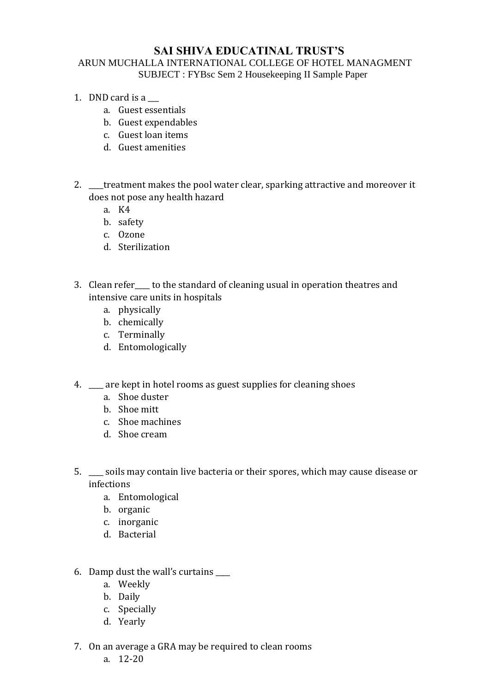## **SAI SHIVA EDUCATINAL TRUST'S**

## ARUN MUCHALLA INTERNATIONAL COLLEGE OF HOTEL MANAGMENT SUBJECT : FYBsc Sem 2 Housekeeping II Sample Paper

- 1. DND card is a
	- a. Guest essentials
	- b. Guest expendables
	- c. Guest loan items
	- d. Guest amenities
- 2. treatment makes the pool water clear, sparking attractive and moreover it does not pose any health hazard
	- a. K4
	- b. safety
	- c. Ozone
	- d. Sterilization
- 3. Clean refer to the standard of cleaning usual in operation theatres and intensive care units in hospitals
	- a. physically
	- b. chemically
	- c. Terminally
	- d. Entomologically
- 4. are kept in hotel rooms as guest supplies for cleaning shoes
	- a. Shoe duster
	- b. Shoe mitt
	- c. Shoe machines
	- d. Shoe cream
- 5. \_\_\_\_ soils may contain live bacteria or their spores, which may cause disease or infections
	- a. Entomological
	- b. organic
	- c. inorganic
	- d. Bacterial
- 6. Damp dust the wall's curtains \_\_\_\_
	- a. Weekly
	- b. Daily
	- c. Specially
	- d. Yearly
- 7. On an average a GRA may be required to clean rooms
	- a. 12-20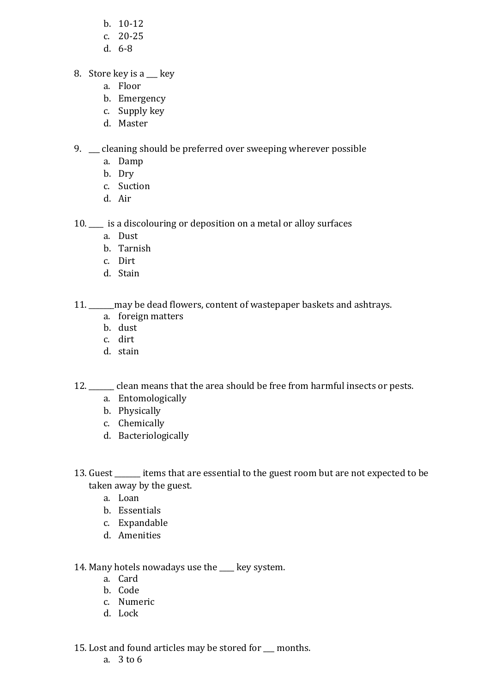- b. 10-12
- c. 20-25
- d. 6-8
- 8. Store key is a \_\_\_ key
	- a. Floor
	- b. Emergency
	- c. Supply key
	- d. Master

9. cleaning should be preferred over sweeping wherever possible

- a. Damp
- b. Dry
- c. Suction
- d. Air

10. \_\_\_\_ is a discolouring or deposition on a metal or alloy surfaces

- a. Dust
- b. Tarnish
- c. Dirt
- d. Stain

11. \_\_\_\_\_ may be dead flowers, content of wastepaper baskets and ashtrays.

- a. foreign matters
- b. dust
- c. dirt
- d. stain

12. clean means that the area should be free from harmful insects or pests.

- a. Entomologically
- b. Physically
- c. Chemically
- d. Bacteriologically
- 13. Guest \_\_\_\_\_\_\_ items that are essential to the guest room but are not expected to be taken away by the guest.
	- a. Loan
	- b. Essentials
	- c. Expandable
	- d. Amenities
- 14. Many hotels nowadays use the key system.
	- a. Card
	- b. Code
	- c. Numeric
	- d. Lock

15. Lost and found articles may be stored for \_\_\_ months.

a. 3 to 6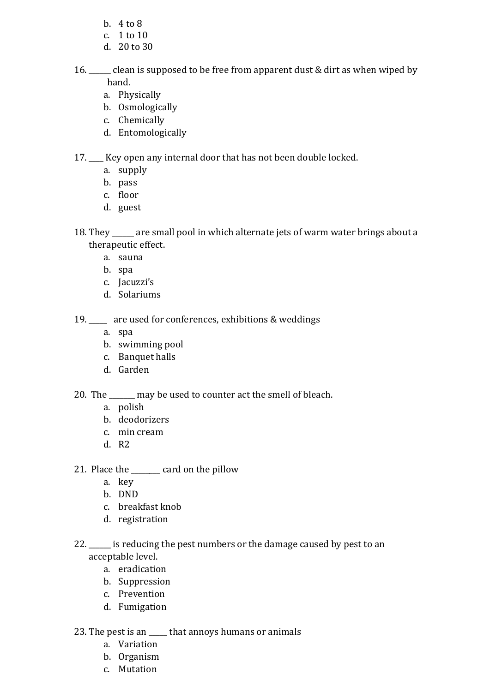- b. 4 to 8
- c. 1 to 10
- d. 20 to 30
- 16. \_\_\_\_\_\_ clean is supposed to be free from apparent dust & dirt as when wiped by hand.
	- a. Physically
	- b. Osmologically
	- c. Chemically
	- d. Entomologically

17. \_\_\_\_ Key open any internal door that has not been double locked.

- a. supply
- b. pass
- c. floor
- d. guest
- 18. They \_\_\_\_\_\_ are small pool in which alternate jets of warm water brings about a therapeutic effect.
	- a. sauna
	- b. spa
	- c. Jacuzzi's
	- d. Solariums

19. are used for conferences, exhibitions & weddings

- a. spa
- b. swimming pool
- c. Banquet halls
- d. Garden

20. The \_\_\_\_\_\_\_ may be used to counter act the smell of bleach.

- a. polish
- b. deodorizers
- c. min cream
- d. R2
- 21. Place the card on the pillow
	- a. key
	- b. DND
	- c. breakfast knob
	- d. registration
- 22.  $\frac{1}{2}$  is reducing the pest numbers or the damage caused by pest to an acceptable level.
	- a. eradication
	- b. Suppression
	- c. Prevention
	- d. Fumigation

23. The pest is an that annoys humans or animals

- a. Variation
- b. Organism
- c. Mutation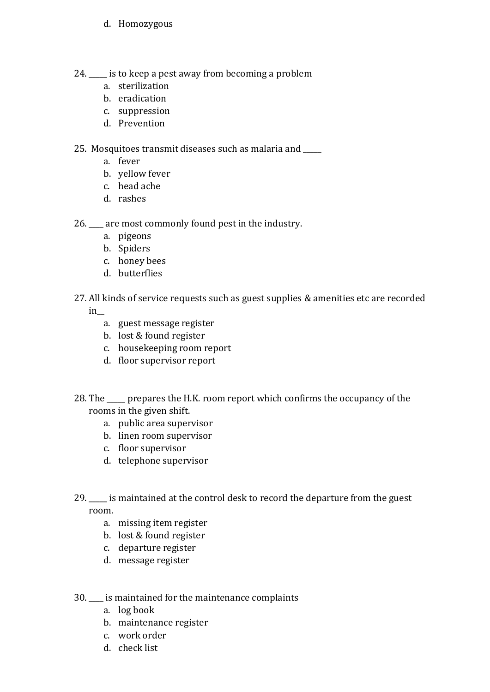- d. Homozygous
- 24. \_\_\_\_\_ is to keep a pest away from becoming a problem
	- a. sterilization
	- b. eradication
	- c. suppression
	- d. Prevention

25. Mosquitoes transmit diseases such as malaria and \_\_\_\_\_

- a. fever
- b. yellow fever
- c. head ache
- d. rashes

26. \_\_\_\_ are most commonly found pest in the industry.

- a. pigeons
- b. Spiders
- c. honey bees
- d. butterflies
- 27. All kinds of service requests such as guest supplies & amenities etc are recorded

in\_\_

- a. guest message register
- b. lost & found register
- c. housekeeping room report
- d. floor supervisor report
- 28. The prepares the H.K. room report which confirms the occupancy of the rooms in the given shift.
	- a. public area supervisor
	- b. linen room supervisor
	- c. floor supervisor
	- d. telephone supervisor
- 29. \_\_\_\_\_ is maintained at the control desk to record the departure from the guest room.
	- a. missing item register
	- b. lost & found register
	- c. departure register
	- d. message register
- 30. \_\_\_\_ is maintained for the maintenance complaints
	- a. log book
	- b. maintenance register
	- c. work order
	- d. check list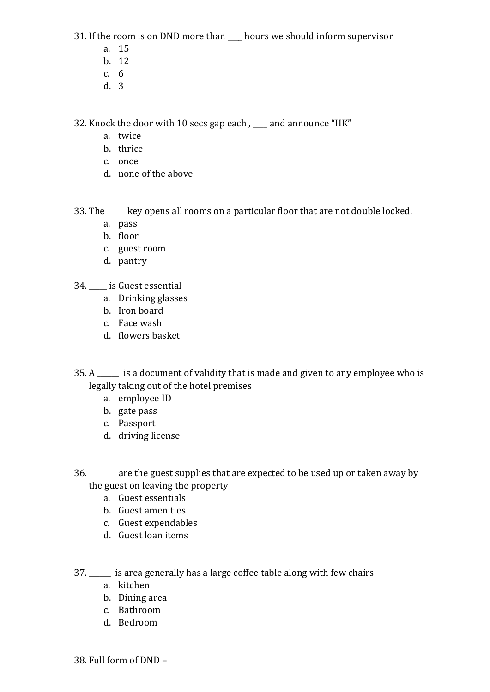31. If the room is on DND more than \_\_\_\_ hours we should inform supervisor

- a. 15
- b. 12
- c. 6
- d. 3

32. Knock the door with 10 secs gap each , \_\_\_\_ and announce "HK"

- a. twice
- b. thrice
- c. once
- d. none of the above

33. The \_\_\_\_\_ key opens all rooms on a particular floor that are not double locked.

- a. pass
- b. floor
- c. guest room
- d. pantry
- 34. \_\_\_\_\_ is Guest essential
	- a. Drinking glasses
	- b. Iron board
	- c. Face wash
	- d. flowers basket

35. A \_\_\_\_\_\_ is a document of validity that is made and given to any employee who is legally taking out of the hotel premises

- a. employee ID
- b. gate pass
- c. Passport
- d. driving license
- 36. \_\_\_\_\_\_\_ are the guest supplies that are expected to be used up or taken away by the guest on leaving the property
	- a. Guest essentials
	- b. Guest amenities
	- c. Guest expendables
	- d. Guest loan items
- 37. \_\_\_\_\_\_ is area generally has a large coffee table along with few chairs
	- a. kitchen
	- b. Dining area
	- c. Bathroom
	- d. Bedroom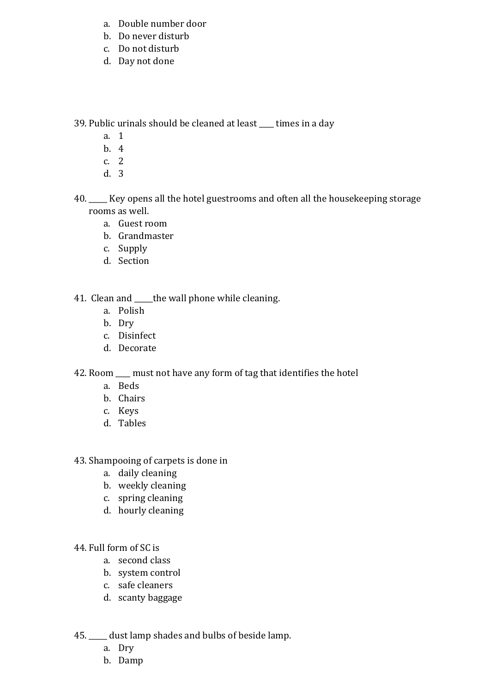- a. Double number door
- b. Do never disturb
- c. Do not disturb
- d. Day not done

39. Public urinals should be cleaned at least \_\_\_\_ times in a day

- a. 1
- b. 4
- c. 2
- d. 3
- 40. Key opens all the hotel guestrooms and often all the housekeeping storage rooms as well.
	- a. Guest room
	- b. Grandmaster
	- c. Supply
	- d. Section

## 41. Clean and \_\_\_\_the wall phone while cleaning.

- a. Polish
- b. Dry
- c. Disinfect
- d. Decorate

## 42. Room \_\_\_\_ must not have any form of tag that identifies the hotel

- a. Beds
- b. Chairs
- c. Keys
- d. Tables
- 43. Shampooing of carpets is done in
	- a. daily cleaning
	- b. weekly cleaning
	- c. spring cleaning
	- d. hourly cleaning
- 44. Full form of SC is
	- a. second class
	- b. system control
	- c. safe cleaners
	- d. scanty baggage
- 45. \_\_\_\_\_ dust lamp shades and bulbs of beside lamp.
	- a. Dry
	- b. Damp